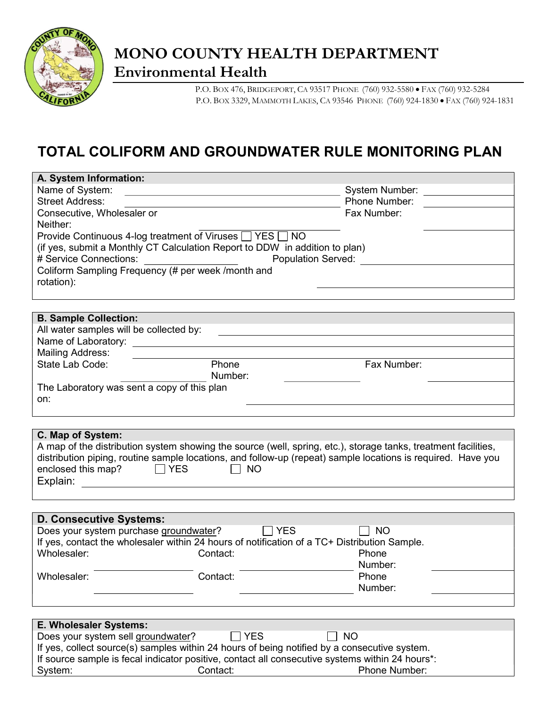

## MONO COUNTY HEALTH DEPARTMENT Environmental Health

P.O. BOX 476, BRIDGEPORT, CA 93517 PHONE (760) 932-5580 · FAX (760) 932-5284 P.O. BOX 3329, MAMMOTH LAKES, CA 93546 PHONE (760) 924-1830 FAX (760) 924-1831

## TOTAL COLIFORM AND GROUNDWATER RULE MONITORING PLAN

| A. System Information:                                                                          |                                                               |                                                                                                                |
|-------------------------------------------------------------------------------------------------|---------------------------------------------------------------|----------------------------------------------------------------------------------------------------------------|
| Name of System:                                                                                 |                                                               | System Number:                                                                                                 |
| <b>Street Address:</b>                                                                          |                                                               | Phone Number:                                                                                                  |
| Consecutive, Wholesaler or                                                                      |                                                               | Fax Number:                                                                                                    |
| Neither:                                                                                        |                                                               |                                                                                                                |
| Provide Continuous 4-log treatment of Viruses $\Box$ YES $\Box$ NO                              |                                                               |                                                                                                                |
| (if yes, submit a Monthly CT Calculation Report to DDW in addition to plan)                     |                                                               |                                                                                                                |
| # Service Connections:                                                                          |                                                               | <b>Population Served:</b>                                                                                      |
| Coliform Sampling Frequency (# per week /month and                                              |                                                               |                                                                                                                |
| rotation):                                                                                      |                                                               |                                                                                                                |
|                                                                                                 |                                                               |                                                                                                                |
|                                                                                                 |                                                               |                                                                                                                |
| <b>B. Sample Collection:</b>                                                                    |                                                               |                                                                                                                |
| All water samples will be collected by:                                                         |                                                               |                                                                                                                |
| Name of Laboratory:                                                                             |                                                               |                                                                                                                |
| <b>Mailing Address:</b>                                                                         |                                                               |                                                                                                                |
| State Lab Code:                                                                                 | Phone                                                         | Fax Number:                                                                                                    |
|                                                                                                 | Number:                                                       |                                                                                                                |
| The Laboratory was sent a copy of this plan                                                     |                                                               |                                                                                                                |
| on:                                                                                             |                                                               |                                                                                                                |
|                                                                                                 |                                                               |                                                                                                                |
|                                                                                                 |                                                               |                                                                                                                |
| C. Map of System:                                                                               |                                                               |                                                                                                                |
|                                                                                                 |                                                               | A map of the distribution system showing the source (well, spring, etc.), storage tanks, treatment facilities, |
|                                                                                                 |                                                               | distribution piping, routine sample locations, and follow-up (repeat) sample locations is required. Have you   |
| enclosed this map?<br><b>YES</b>                                                                | <b>NO</b>                                                     |                                                                                                                |
| Explain:                                                                                        | <u> 1989 - Johann Stein, mars an deutscher Stein († 1958)</u> |                                                                                                                |
|                                                                                                 |                                                               |                                                                                                                |
|                                                                                                 |                                                               |                                                                                                                |
| <b>D. Consecutive Systems:</b>                                                                  |                                                               |                                                                                                                |
| Does your system purchase groundwater?                                                          | <b>YES</b>                                                    | <b>NO</b>                                                                                                      |
| If yes, contact the wholesaler within 24 hours of notification of a TC+ Distribution Sample.    |                                                               |                                                                                                                |
| Wholesaler:                                                                                     | Contact:                                                      | Phone                                                                                                          |
|                                                                                                 |                                                               | Number:                                                                                                        |
| Wholesaler:                                                                                     | Contact:                                                      | Phone                                                                                                          |
|                                                                                                 |                                                               | Number:                                                                                                        |
|                                                                                                 |                                                               |                                                                                                                |
|                                                                                                 |                                                               |                                                                                                                |
| E. Wholesaler Systems:                                                                          |                                                               |                                                                                                                |
| Does your system sell groundwater?                                                              | <b>YES</b>                                                    | <b>NO</b>                                                                                                      |
| If yes, collect source(s) samples within 24 hours of being notified by a consecutive system.    |                                                               |                                                                                                                |
| If source sample is fecal indicator positive, contact all consecutive systems within 24 hours*: |                                                               |                                                                                                                |
| System:                                                                                         | Contact:                                                      | Phone Number:                                                                                                  |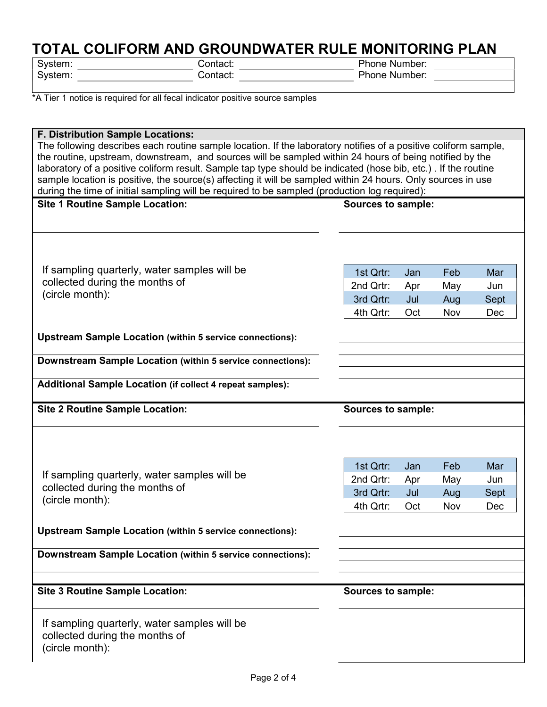# **TOTAL COLIFORM AND GROUNDWATER RULE MONITORING PLAN**<br>
System: Phone Number:

 $\overline{\phantom{a}}$  Contact:  $\overline{\phantom{a}}$ 

System: Contact: Phone Number: 2014<br>Phone Number: 2014

\*A Tier 1 notice is required for all fecal indicator positive source samples

| <b>F. Distribution Sample Locations:</b>                                                                        |                    |     |     |      |
|-----------------------------------------------------------------------------------------------------------------|--------------------|-----|-----|------|
| The following describes each routine sample location. If the laboratory notifies of a positive coliform sample, |                    |     |     |      |
| the routine, upstream, downstream, and sources will be sampled within 24 hours of being notified by the         |                    |     |     |      |
| laboratory of a positive coliform result. Sample tap type should be indicated (hose bib, etc.). If the routine  |                    |     |     |      |
| sample location is positive, the source(s) affecting it will be sampled within 24 hours. Only sources in use    |                    |     |     |      |
| during the time of initial sampling will be required to be sampled (production log required):                   |                    |     |     |      |
| <b>Site 1 Routine Sample Location:</b>                                                                          | Sources to sample: |     |     |      |
|                                                                                                                 |                    |     |     |      |
|                                                                                                                 |                    |     |     |      |
|                                                                                                                 |                    |     |     |      |
|                                                                                                                 |                    |     |     |      |
| If sampling quarterly, water samples will be                                                                    | 1st Qrtr:          |     | Feb | Mar  |
| collected during the months of                                                                                  |                    | Jan |     |      |
| (circle month):                                                                                                 | 2nd Qrtr:          | Apr | May | Jun  |
|                                                                                                                 | 3rd Qrtr:          | Jul | Aug | Sept |
|                                                                                                                 | 4th Qrtr:          | Oct | Nov | Dec  |
|                                                                                                                 |                    |     |     |      |
| <b>Upstream Sample Location (within 5 service connections):</b>                                                 |                    |     |     |      |
|                                                                                                                 |                    |     |     |      |
| Downstream Sample Location (within 5 service connections):                                                      |                    |     |     |      |
|                                                                                                                 |                    |     |     |      |
| <b>Additional Sample Location (if collect 4 repeat samples):</b>                                                |                    |     |     |      |
|                                                                                                                 |                    |     |     |      |
|                                                                                                                 |                    |     |     |      |
| <b>Site 2 Routine Sample Location:</b>                                                                          | Sources to sample: |     |     |      |
|                                                                                                                 |                    |     |     |      |
|                                                                                                                 |                    |     |     |      |
|                                                                                                                 |                    |     |     |      |
|                                                                                                                 | 1st Qrtr:          | Jan | Feb | Mar  |
| If sampling quarterly, water samples will be                                                                    |                    |     |     |      |
| collected during the months of                                                                                  | 2nd Qrtr:          | Apr | May | Jun  |
| (circle month):                                                                                                 | 3rd Qrtr:          | Jul | Aug | Sept |
|                                                                                                                 | 4th Qrtr:          | Oct | Nov | Dec  |
|                                                                                                                 |                    |     |     |      |
| <b>Upstream Sample Location (within 5 service connections):</b>                                                 |                    |     |     |      |
|                                                                                                                 |                    |     |     |      |
| Downstream Sample Location (within 5 service connections):                                                      |                    |     |     |      |
|                                                                                                                 |                    |     |     |      |
|                                                                                                                 |                    |     |     |      |
| <b>Site 3 Routine Sample Location:</b>                                                                          | Sources to sample: |     |     |      |
|                                                                                                                 |                    |     |     |      |
| If sampling quarterly, water samples will be                                                                    |                    |     |     |      |
| collected during the months of                                                                                  |                    |     |     |      |
| (circle month):                                                                                                 |                    |     |     |      |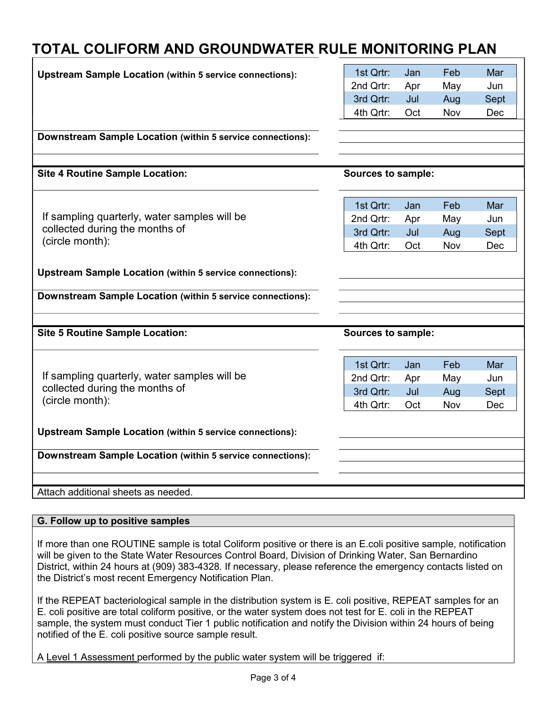### TOTAL COLIFORM AND GROUNDWATER RULE MONITORING PLAN

| <b>Upstream Sample Location (within 5 service connections):</b> | 1st Qrtr:                 | Jan | Feb | Mar  |
|-----------------------------------------------------------------|---------------------------|-----|-----|------|
|                                                                 | 2nd Qrtr:                 | Apr | May | Jun  |
|                                                                 | 3rd Qrtr:                 | Jul | Aug | Sept |
|                                                                 | 4th Qrtr:                 | Oct | Nov | Dec  |
|                                                                 |                           |     |     |      |
| Downstream Sample Location (within 5 service connections):      |                           |     |     |      |
|                                                                 |                           |     |     |      |
| <b>Site 4 Routine Sample Location:</b>                          | <b>Sources to sample:</b> |     |     |      |
|                                                                 |                           |     |     |      |
|                                                                 | 1st Qrtr:                 | Jan | Feb | Mar  |
| If sampling quarterly, water samples will be                    | 2nd Qrtr:                 | Apr | May | Jun  |
| collected during the months of                                  | 3rd Qrtr:                 | Jul | Aug | Sept |
| (circle month):                                                 | 4th Qrtr:                 | Oct | Nov | Dec  |
|                                                                 |                           |     |     |      |
| <b>Upstream Sample Location (within 5 service connections):</b> |                           |     |     |      |
|                                                                 |                           |     |     |      |
| Downstream Sample Location (within 5 service connections):      |                           |     |     |      |
|                                                                 |                           |     |     |      |
| <b>Site 5 Routine Sample Location:</b>                          | <b>Sources to sample:</b> |     |     |      |
|                                                                 |                           |     |     |      |
|                                                                 | 1st Qrtr:                 | Jan | Feb | Mar  |
| If sampling quarterly, water samples will be                    | 2nd Qrtr:                 | Apr | May | Jun  |
| collected during the months of                                  | 3rd Qrtr:                 | Jul | Aug | Sept |
| (circle month):                                                 | 4th Qrtr:                 | Oct | Nov | Dec  |
|                                                                 |                           |     |     |      |
| <b>Upstream Sample Location (within 5 service connections):</b> |                           |     |     |      |
| Downstream Sample Location (within 5 service connections):      |                           |     |     |      |
|                                                                 |                           |     |     |      |
|                                                                 |                           |     |     |      |
| Attach additional sheets as needed.                             |                           |     |     |      |

#### G. Follow up to positive samples

If more than one ROUTINE sample is total Coliform positive or there is an E.coli positive sample, notification will be given to the State Water Resources Control Board, Division of Drinking Water, San Bernardino District, within 24 hours at (909) 383-4328. If necessary, please reference the emergency contacts listed on the District's most recent Emergency Notification Plan.

If the REPEAT bacteriological sample in the distribution system is E. coli positive, REPEAT samples for an E. coli positive are total coliform positive, or the water system does not test for E. coli in the REPEAT sample, the system must conduct Tier 1 public notification and notify the Division within 24 hours of being notified of the E. coli positive source sample result.

A Level 1 Assessment performed by the public water system will be triggered if: